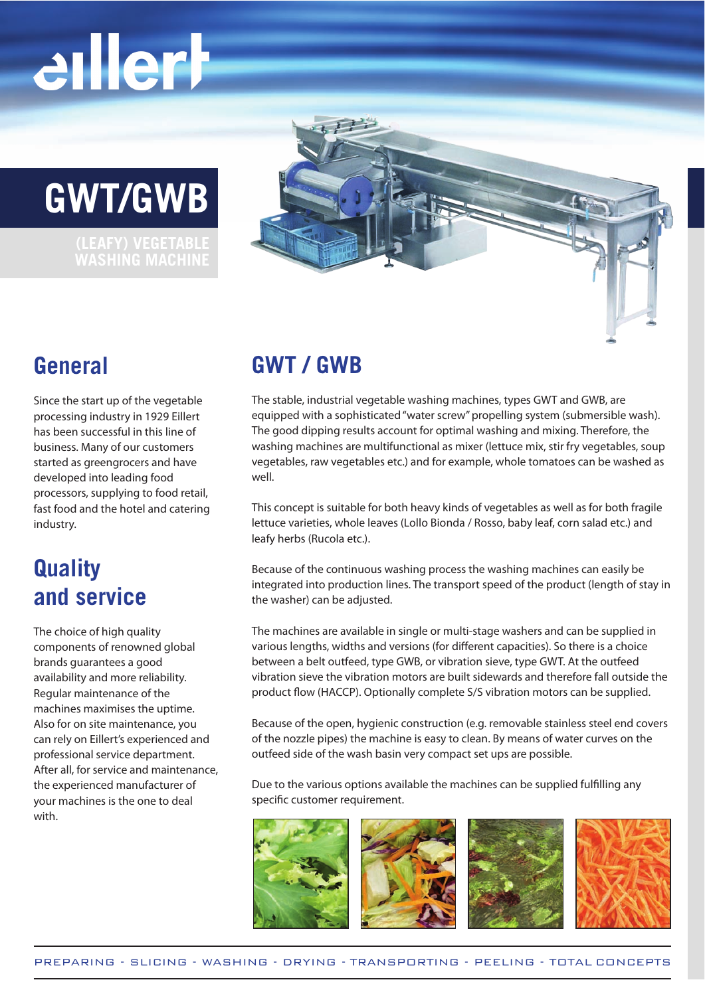# eillerh

### **GWT/GWB**

**WASHING MACHINE**



### **General**

Since the start up of the vegetable processing industry in 1929 Eillert has been successful in this line of business. Many of our customers started as greengrocers and have developed into leading food processors, supplying to food retail, fast food and the hotel and catering industry.

### **Quality and service**

The choice of high quality components of renowned global brands guarantees a good availability and more reliability. Regular maintenance of the machines maximises the uptime. Also for on site maintenance, you can rely on Eillert's experienced and professional service department. After all, for service and maintenance, the experienced manufacturer of your machines is the one to deal with.

### **GWT / GWB**

The stable, industrial vegetable washing machines, types GWT and GWB, are equipped with a sophisticated "water screw" propelling system (submersible wash). The good dipping results account for optimal washing and mixing. Therefore, the washing machines are multifunctional as mixer (lettuce mix, stir fry vegetables, soup vegetables, raw vegetables etc.) and for example, whole tomatoes can be washed as well.

This concept is suitable for both heavy kinds of vegetables as well as for both fragile lettuce varieties, whole leaves (Lollo Bionda / Rosso, baby leaf, corn salad etc.) and leafy herbs (Rucola etc.).

Because of the continuous washing process the washing machines can easily be integrated into production lines. The transport speed of the product (length of stay in the washer) can be adjusted.

The machines are available in single or multi-stage washers and can be supplied in various lengths, widths and versions (for different capacities). So there is a choice between a belt outfeed, type GWB, or vibration sieve, type GWT. At the outfeed vibration sieve the vibration motors are built sidewards and therefore fall outside the product flow (HACCP). Optionally complete S/S vibration motors can be supplied.

Because of the open, hygienic construction (e.g. removable stainless steel end covers of the nozzle pipes) the machine is easy to clean. By means of water curves on the outfeed side of the wash basin very compact set ups are possible.

Due to the various options available the machines can be supplied fulfilling any specific customer requirement.